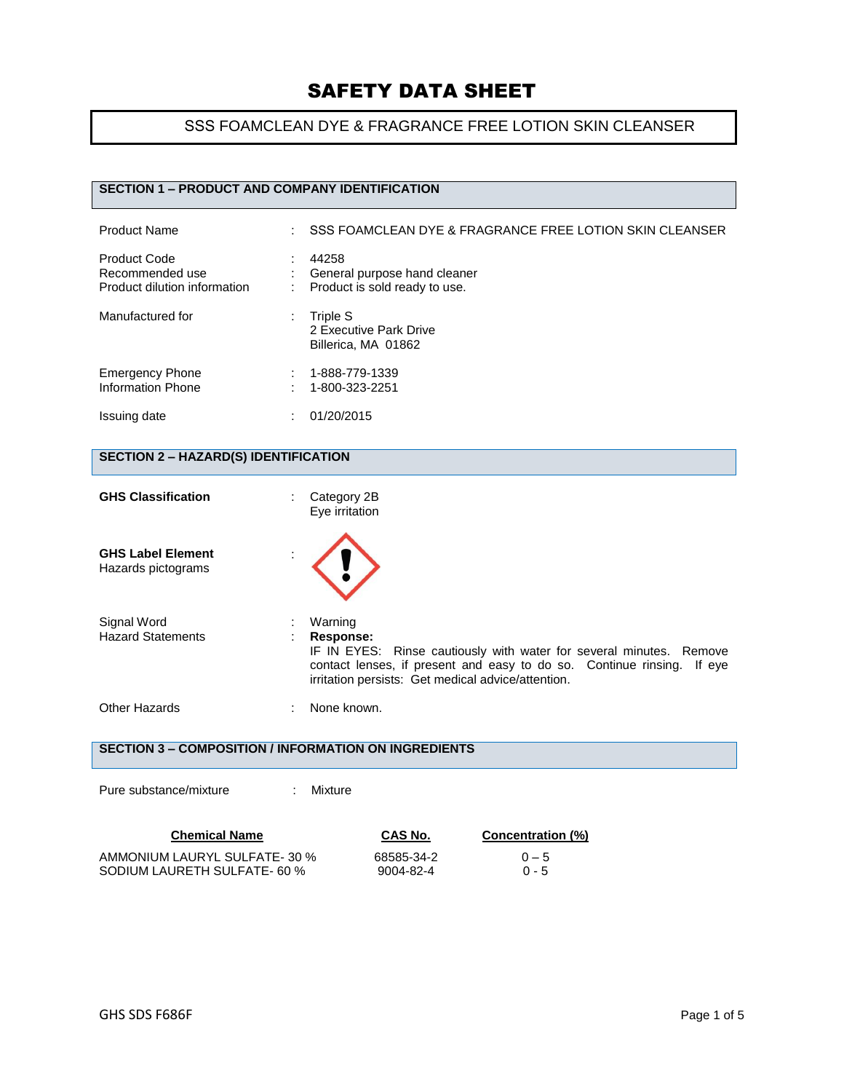## SSS FOAMCLEAN DYE & FRAGRANCE FREE LOTION SKIN CLEANSER

## **SECTION 1 – PRODUCT AND COMPANY IDENTIFICATION**

| <b>Product Name</b>                                                    | SSS FOAMCLEAN DYE & FRAGRANCE FREE LOTION SKIN CLEANSER                |
|------------------------------------------------------------------------|------------------------------------------------------------------------|
| <b>Product Code</b><br>Recommended use<br>Product dilution information | 44258<br>General purpose hand cleaner<br>Product is sold ready to use. |
| Manufactured for                                                       | Triple S<br>2 Executive Park Drive<br>Billerica, MA 01862              |
| <b>Emergency Phone</b><br>Information Phone                            | 1-888-779-1339<br>1-800-323-2251                                       |
| Issuing date                                                           | 01/20/2015                                                             |

## **SECTION 2 – HAZARD(S) IDENTIFICATION**

| <b>GHS Classification</b>                      | Category 2B<br>÷<br>Eye irritation                                                                                                                                                                                             |
|------------------------------------------------|--------------------------------------------------------------------------------------------------------------------------------------------------------------------------------------------------------------------------------|
| <b>GHS Label Element</b><br>Hazards pictograms |                                                                                                                                                                                                                                |
| Signal Word<br><b>Hazard Statements</b>        | Warning<br>Response:<br>IF IN EYES: Rinse cautiously with water for several minutes. Remove<br>contact lenses, if present and easy to do so. Continue rinsing.<br>If eve<br>irritation persists: Get medical advice/attention. |
| Other Hazards                                  | None known.                                                                                                                                                                                                                    |
|                                                | SECTION 3 – COMPOSITION / INFORMATION ON INGREDIENTS                                                                                                                                                                           |

Pure substance/mixture : Mixture

| <b>Chemical Name</b>          | CAS No.    | <b>Concentration (%)</b> |
|-------------------------------|------------|--------------------------|
| AMMONIUM LAURYL SULFATE- 30 % | 68585-34-2 | $0 - 5$                  |
| SODIUM LAURETH SULFATE- 60 %  | 9004-82-4  | $0 - 5$                  |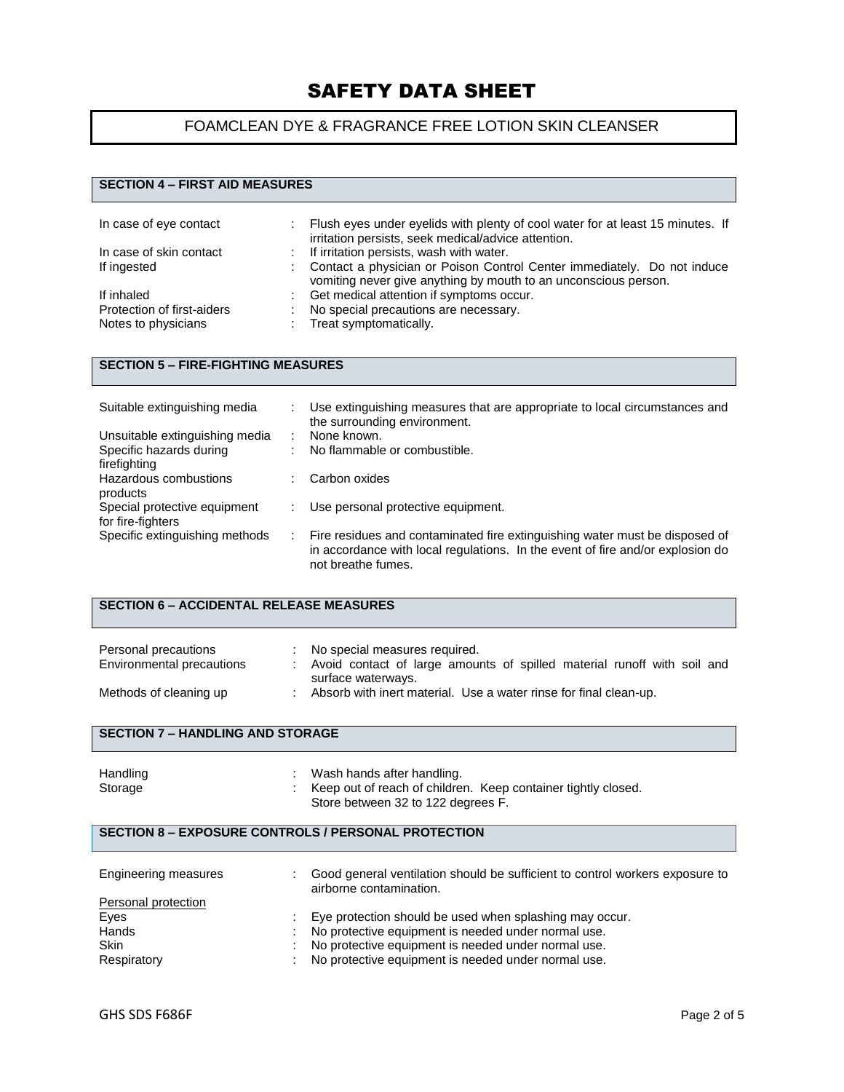## FOAMCLEAN DYE & FRAGRANCE FREE LOTION SKIN CLEANSER

## **SECTION 4 – FIRST AID MEASURES**

| In case of eye contact     | Flush eyes under eyelids with plenty of cool water for at least 15 minutes. If<br>irritation persists, seek medical/advice attention.      |
|----------------------------|--------------------------------------------------------------------------------------------------------------------------------------------|
| In case of skin contact    | : If irritation persists, wash with water.                                                                                                 |
| If ingested                | Contact a physician or Poison Control Center immediately. Do not induce<br>vomiting never give anything by mouth to an unconscious person. |
| If inhaled                 | Get medical attention if symptoms occur.                                                                                                   |
| Protection of first-aiders | No special precautions are necessary.                                                                                                      |
| Notes to physicians        | : Treat symptomatically.                                                                                                                   |

## **SECTION 5 – FIRE-FIGHTING MEASURES**

| Suitable extinguishing media   | Use extinguishing measures that are appropriate to local circumstances and<br>the surrounding environment.                                                                          |
|--------------------------------|-------------------------------------------------------------------------------------------------------------------------------------------------------------------------------------|
| Unsuitable extinguishing media | None known.                                                                                                                                                                         |
| Specific hazards during        | No flammable or combustible.                                                                                                                                                        |
| firefighting                   |                                                                                                                                                                                     |
| Hazardous combustions          | Carbon oxides                                                                                                                                                                       |
| products                       |                                                                                                                                                                                     |
| Special protective equipment   | Use personal protective equipment.                                                                                                                                                  |
| for fire-fighters              |                                                                                                                                                                                     |
| Specific extinguishing methods | Fire residues and contaminated fire extinguishing water must be disposed of<br>in accordance with local regulations. In the event of fire and/or explosion do<br>not breathe fumes. |

#### **SECTION 6 – ACCIDENTAL RELEASE MEASURES**

| Personal precautions      | No special measures required.                                                                   |
|---------------------------|-------------------------------------------------------------------------------------------------|
| Environmental precautions | : Avoid contact of large amounts of spilled material runoff with soil and<br>surface waterways. |
| Methods of cleaning up    | Absorb with inert material. Use a water rinse for final clean-up.                               |

### **SECTION 7 – HANDLING AND STORAGE**

| Handling | Wash hands after handling.                                      |
|----------|-----------------------------------------------------------------|
| Storage  | : Keep out of reach of children. Keep container tightly closed. |
|          | Store between 32 to 122 degrees F.                              |

### **SECTION 8 – EXPOSURE CONTROLS / PERSONAL PROTECTION**

| Engineering measures | Good general ventilation should be sufficient to control workers exposure to<br>airborne contamination. |
|----------------------|---------------------------------------------------------------------------------------------------------|
| Personal protection  |                                                                                                         |
| Eyes                 | Eye protection should be used when splashing may occur.                                                 |
| Hands                | No protective equipment is needed under normal use.                                                     |
| <b>Skin</b>          | No protective equipment is needed under normal use.                                                     |
| Respiratory          | No protective equipment is needed under normal use.                                                     |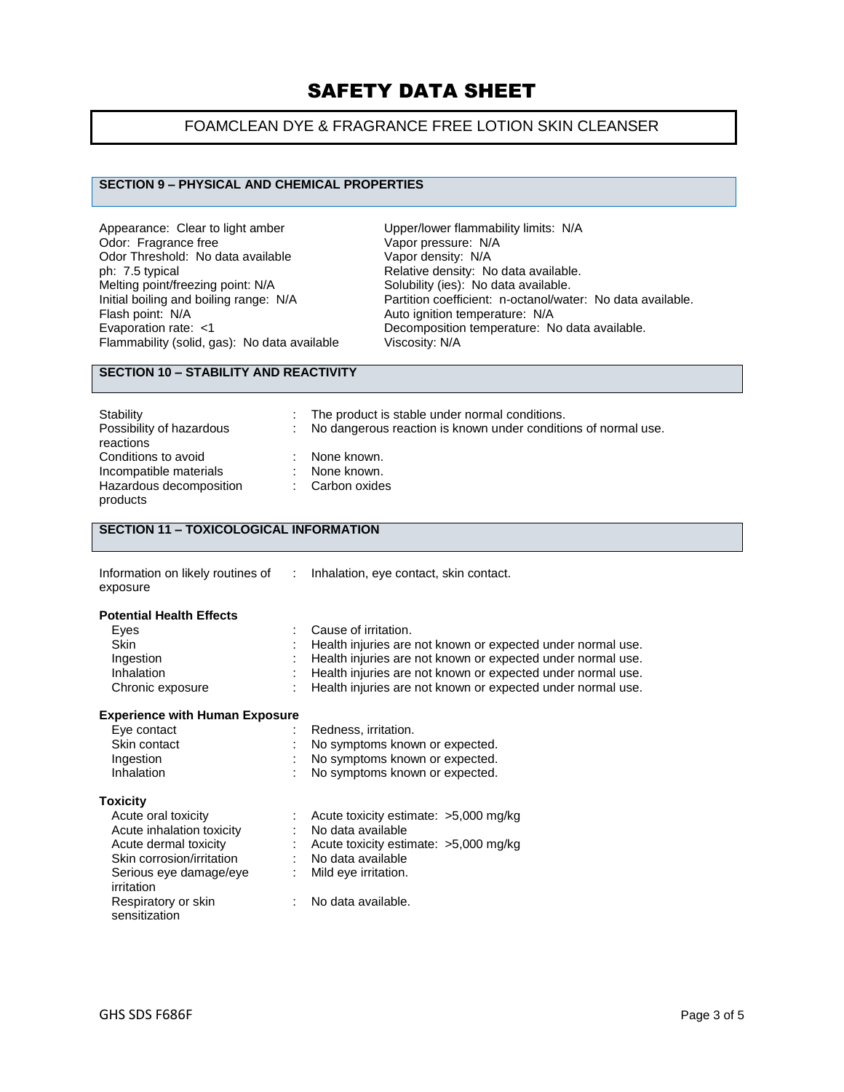## FOAMCLEAN DYE & FRAGRANCE FREE LOTION SKIN CLEANSER

### **SECTION 9 – PHYSICAL AND CHEMICAL PROPERTIES**

Appearance: Clear to light amber Upper/lower flammability limits: N/A<br>Odor: Fragrance free Vapor pressure: N/A Odor: Fragrance free Vapor pressure: N/<br>Odor Threshold: No data available Vapor density: N/A Odor Threshold: No data available ph: 7.5 typical ph: 7.5 typical consider the Relative density: No data available.<br>
Melting point/freezing point: N/A Solubility (ies): No data available. Melting point/freezing point: N/A Solubility (ies): No data available.<br>
Initial boiling and boiling range: N/A Partition coefficient: n-octanol/wat Flammability (solid, gas): No data available

Initial boiling and boiling range: N/A Partition coefficient: n-octanol/water: No data available.<br>Flash point: N/A Ruto ignition temperature: N/A Auto ignition temperature: N/A Evaporation rate: <1 Decomposition temperature: No data available.<br>Flammability (solid, gas): No data available Viscosity: N/A

### **SECTION 10 – STABILITY AND REACTIVITY**

| Stability<br>Possibility of hazardous<br>reactions | The product is stable under normal conditions.<br>No dangerous reaction is known under conditions of normal use. |
|----------------------------------------------------|------------------------------------------------------------------------------------------------------------------|
| Conditions to avoid<br>Incompatible materials      | None known.<br>None known.                                                                                       |
| Hazardous decomposition<br>products                | Carbon oxides                                                                                                    |

## **SECTION 11 – TOXICOLOGICAL INFORMATION**

| Information on likely routines of |
|-----------------------------------|
| exposure                          |

: Inhalation, eye contact, skin contact.

#### **Potential Health Effects**

| Eyes             | : Cause of irritation.                                        |
|------------------|---------------------------------------------------------------|
| <b>Skin</b>      | : Health injuries are not known or expected under normal use. |
| Ingestion        | : Health injuries are not known or expected under normal use. |
| Inhalation       | : Health injuries are not known or expected under normal use. |
| Chronic exposure | : Health injuries are not known or expected under normal use. |

#### **Experience with Human Exposure**

| Eye contact  | Redness, irritation.             |
|--------------|----------------------------------|
| Skin contact | : No symptoms known or expected. |
| Ingestion    | : No symptoms known or expected. |
| Inhalation   | : No symptoms known or expected. |

#### **Toxicity**

| Acute oral toxicity       | : Acute toxicity estimate: $>5,000$ mg/kg |
|---------------------------|-------------------------------------------|
| Acute inhalation toxicity | : No data available                       |
| Acute dermal toxicity     | : Acute toxicity estimate: $>5,000$ mg/kg |
| Skin corrosion/irritation | No data available                         |
| Serious eye damage/eye    | : Mild eye irritation.                    |
| irritation                |                                           |
| Respiratory or skin       | : No data available.                      |
| sensitization             |                                           |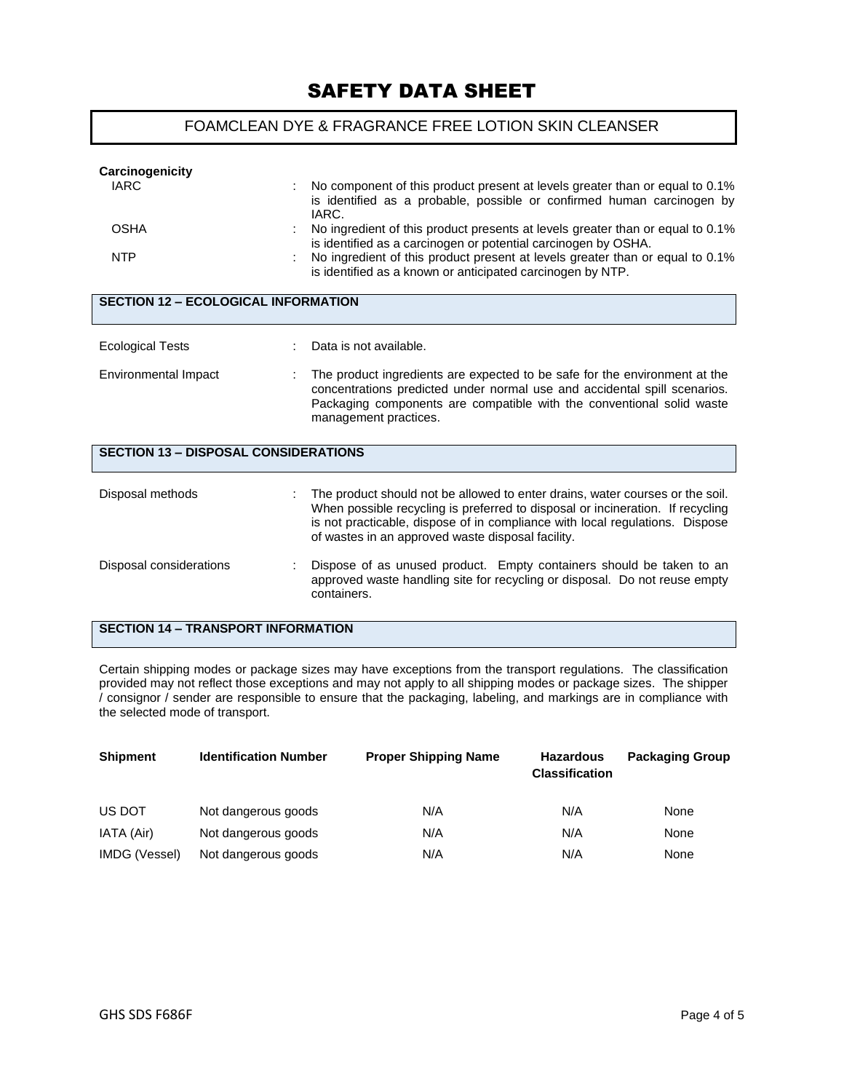## FOAMCLEAN DYE & FRAGRANCE FREE LOTION SKIN CLEANSER

| Carcinogenicity                             |                                                                                                                                                                                                                                                                                                      |  |  |  |  |
|---------------------------------------------|------------------------------------------------------------------------------------------------------------------------------------------------------------------------------------------------------------------------------------------------------------------------------------------------------|--|--|--|--|
| <b>IARC</b>                                 | No component of this product present at levels greater than or equal to 0.1%<br>is identified as a probable, possible or confirmed human carcinogen by<br>IARC.                                                                                                                                      |  |  |  |  |
| <b>OSHA</b>                                 | No ingredient of this product presents at levels greater than or equal to 0.1%<br>is identified as a carcinogen or potential carcinogen by OSHA.                                                                                                                                                     |  |  |  |  |
| <b>NTP</b>                                  | No ingredient of this product present at levels greater than or equal to 0.1%<br>is identified as a known or anticipated carcinogen by NTP.                                                                                                                                                          |  |  |  |  |
| <b>SECTION 12 - ECOLOGICAL INFORMATION</b>  |                                                                                                                                                                                                                                                                                                      |  |  |  |  |
| <b>Ecological Tests</b>                     | Data is not available.                                                                                                                                                                                                                                                                               |  |  |  |  |
| Environmental Impact                        | The product ingredients are expected to be safe for the environment at the<br>concentrations predicted under normal use and accidental spill scenarios.                                                                                                                                              |  |  |  |  |
|                                             | Packaging components are compatible with the conventional solid waste<br>management practices.                                                                                                                                                                                                       |  |  |  |  |
| <b>SECTION 13 - DISPOSAL CONSIDERATIONS</b> |                                                                                                                                                                                                                                                                                                      |  |  |  |  |
| Disposal methods                            | The product should not be allowed to enter drains, water courses or the soil.<br>When possible recycling is preferred to disposal or incineration. If recycling<br>is not practicable, dispose of in compliance with local regulations. Dispose<br>of wastes in an approved waste disposal facility. |  |  |  |  |
| Disposal considerations                     | Dispose of as unused product. Empty containers should be taken to an<br>approved waste handling site for recycling or disposal. Do not reuse empty<br>containers.                                                                                                                                    |  |  |  |  |
| <b>SECTION 14 - TRANSPORT INFORMATION</b>   |                                                                                                                                                                                                                                                                                                      |  |  |  |  |

Certain shipping modes or package sizes may have exceptions from the transport regulations. The classification provided may not reflect those exceptions and may not apply to all shipping modes or package sizes. The shipper / consignor / sender are responsible to ensure that the packaging, labeling, and markings are in compliance with the selected mode of transport.

| <b>Shipment</b><br><b>Identification Number</b> |                     | <b>Proper Shipping Name</b> | <b>Hazardous</b><br><b>Classification</b> | <b>Packaging Group</b> |  |
|-------------------------------------------------|---------------------|-----------------------------|-------------------------------------------|------------------------|--|
| US DOT                                          | Not dangerous goods | N/A                         | N/A                                       | None                   |  |
| IATA (Air)                                      | Not dangerous goods | N/A                         | N/A                                       | None                   |  |
| IMDG (Vessel)                                   | Not dangerous goods | N/A                         | N/A                                       | None                   |  |